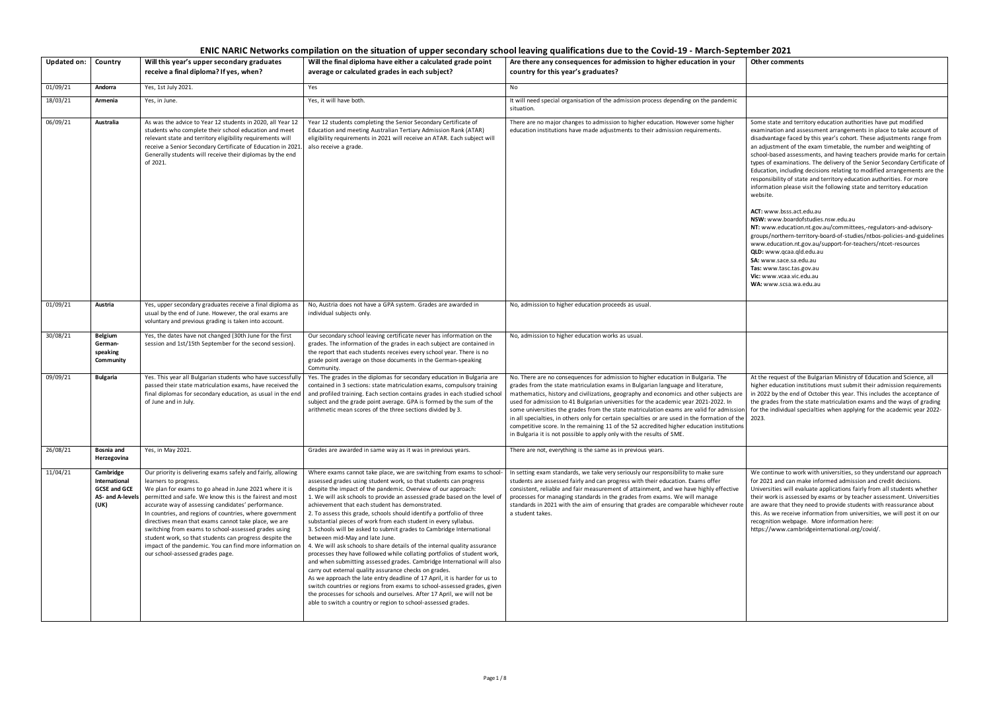Some state and territory education authorities have put modified examination and assessment arrangements in place to take account of disadvantage faced by this year's cohort. These adjustments range from an adjustment of the exam timetable, the number and weighting of school-based assessments, and having teachers provide marks for certain types of examinations. The delivery of the Senior Secondary Certificate of Education, including decisions relating to modified arrangements are the responsibility of state and territory education authorities. For more information please visit the following state and territory education website.

**ACT:** www.bsss.act.edu.au

**NSW:** www.boardofstudies.nsw.edu.au

**NT:** www.education.nt.gov.au/committees,-regulators-and-advisorygroups/northern-territory-board-of-studies/ntbos-policies-and-guidelines www.education.nt.gov.au/support-for-teachers/ntcet-resources **QLD:** www.qcaa.qld.edu.au **SA:** www.sace.sa.edu.au

**Tas:** www.tasc.tas.gov.au

**Vic:** www.vcaa.vic.edu.au

**WA:** www.scsa.wa.edu.au

| <b>Updated on:</b> | Country                                                                       | Will this year's upper secondary graduates<br>receive a final diploma? If yes, when?                                                                                                                                                                                                                                                                                                                                                                                                                                                                                                                     | Will the final diploma have either a calculated grade point<br>average or calculated grades in each subject?                                                                                                                                                                                                                                                                                                                                                                                                                                                                                                                                                                                                                                                                                                                                                                                                                                                                                                                                                                                                                                                                                        | Are there any consequences for admission to higher education in your<br>country for this year's graduates?                                                                                                                                                                                                                                                                                                                                                                                                                                                                                                                                                                                                              |
|--------------------|-------------------------------------------------------------------------------|----------------------------------------------------------------------------------------------------------------------------------------------------------------------------------------------------------------------------------------------------------------------------------------------------------------------------------------------------------------------------------------------------------------------------------------------------------------------------------------------------------------------------------------------------------------------------------------------------------|-----------------------------------------------------------------------------------------------------------------------------------------------------------------------------------------------------------------------------------------------------------------------------------------------------------------------------------------------------------------------------------------------------------------------------------------------------------------------------------------------------------------------------------------------------------------------------------------------------------------------------------------------------------------------------------------------------------------------------------------------------------------------------------------------------------------------------------------------------------------------------------------------------------------------------------------------------------------------------------------------------------------------------------------------------------------------------------------------------------------------------------------------------------------------------------------------------|-------------------------------------------------------------------------------------------------------------------------------------------------------------------------------------------------------------------------------------------------------------------------------------------------------------------------------------------------------------------------------------------------------------------------------------------------------------------------------------------------------------------------------------------------------------------------------------------------------------------------------------------------------------------------------------------------------------------------|
| 01/09/21           | Andorra                                                                       | Yes, 1st July 2021.                                                                                                                                                                                                                                                                                                                                                                                                                                                                                                                                                                                      | Yes                                                                                                                                                                                                                                                                                                                                                                                                                                                                                                                                                                                                                                                                                                                                                                                                                                                                                                                                                                                                                                                                                                                                                                                                 | No                                                                                                                                                                                                                                                                                                                                                                                                                                                                                                                                                                                                                                                                                                                      |
| 18/03/21           | Armenia                                                                       | Yes, in June.                                                                                                                                                                                                                                                                                                                                                                                                                                                                                                                                                                                            | Yes, it will have both.                                                                                                                                                                                                                                                                                                                                                                                                                                                                                                                                                                                                                                                                                                                                                                                                                                                                                                                                                                                                                                                                                                                                                                             | It will need special organisation of the admission process depending on the pandemic<br>situation.                                                                                                                                                                                                                                                                                                                                                                                                                                                                                                                                                                                                                      |
| 06/09/21           | Australia                                                                     | As was the advice to Year 12 students in 2020, all Year 12<br>students who complete their school education and meet<br>relevant state and territory eligibility requirements will<br>receive a Senior Secondary Certificate of Education in 2021.<br>Generally students will receive their diplomas by the end<br>of 2021.                                                                                                                                                                                                                                                                               | Year 12 students completing the Senior Secondary Certificate of<br>Education and meeting Australian Tertiary Admission Rank (ATAR)<br>eligibility requirements in 2021 will receive an ATAR. Each subject will<br>also receive a grade.                                                                                                                                                                                                                                                                                                                                                                                                                                                                                                                                                                                                                                                                                                                                                                                                                                                                                                                                                             | There are no major changes to admission to higher education. However some higher<br>education institutions have made adjustments to their admission requirements.                                                                                                                                                                                                                                                                                                                                                                                                                                                                                                                                                       |
| 01/09/21           | Austria                                                                       | Yes, upper secondary graduates receive a final diploma as<br>usual by the end of June. However, the oral exams are<br>voluntary and previous grading is taken into account.                                                                                                                                                                                                                                                                                                                                                                                                                              | No, Austria does not have a GPA system. Grades are awarded in<br>individual subjects only.                                                                                                                                                                                                                                                                                                                                                                                                                                                                                                                                                                                                                                                                                                                                                                                                                                                                                                                                                                                                                                                                                                          | No, admission to higher education proceeds as usual.                                                                                                                                                                                                                                                                                                                                                                                                                                                                                                                                                                                                                                                                    |
| 30/08/21           | <b>Belgium</b><br>German-<br>speaking<br>Community                            | Yes, the dates have not changed (30th June for the first<br>session and 1st/15th September for the second session).                                                                                                                                                                                                                                                                                                                                                                                                                                                                                      | Our secondary school leaving certificate never has information on the<br>grades. The information of the grades in each subject are contained in<br>the report that each students receives every school year. There is no<br>grade point average on those documents in the German-speaking<br>Community.                                                                                                                                                                                                                                                                                                                                                                                                                                                                                                                                                                                                                                                                                                                                                                                                                                                                                             | No, admission to higher education works as usual.                                                                                                                                                                                                                                                                                                                                                                                                                                                                                                                                                                                                                                                                       |
| 09/09/21           | Bulgaria                                                                      | Yes. This year all Bulgarian students who have successfully<br>passed their state matriculation exams, have received the<br>final diplomas for secondary education, as usual in the end<br>of June and in July.                                                                                                                                                                                                                                                                                                                                                                                          | Yes. The grades in the diplomas for secondary education in Bulgaria are<br>contained in 3 sections: state matriculation exams, compulsory training<br>and profiled training. Each section contains grades in each studied school<br>subject and the grade point average. GPA is formed by the sum of the<br>arithmetic mean scores of the three sections divided by 3.                                                                                                                                                                                                                                                                                                                                                                                                                                                                                                                                                                                                                                                                                                                                                                                                                              | No. There are no consequences for admission to higher education in Bulgaria. The<br>grades from the state matriculation exams in Bulgarian language and literature,<br>mathematics, history and civilizations, geography and economics and other subjects are<br>used for admission to 41 Bulgarian universities for the academic year 2021-2022. In<br>some universities the grades from the state matriculation exams are valid for admission<br>in all specialties, in others only for certain specialties or are used in the formation of the<br>competitive score. In the remaining 11 of the 52 accredited higher education institutions<br>in Bulgaria it is not possible to apply only with the results of SME. |
| 26/08/21           | Bosnia and<br>Herzegovina                                                     | Yes, in May 2021.                                                                                                                                                                                                                                                                                                                                                                                                                                                                                                                                                                                        | Grades are awarded in same way as it was in previous years.                                                                                                                                                                                                                                                                                                                                                                                                                                                                                                                                                                                                                                                                                                                                                                                                                                                                                                                                                                                                                                                                                                                                         | There are not, everything is the same as in previous years.                                                                                                                                                                                                                                                                                                                                                                                                                                                                                                                                                                                                                                                             |
| 11/04/21           | Cambridge<br>International<br><b>GCSE and GCE</b><br>AS- and A-levels<br>(UK) | Our priority is delivering exams safely and fairly, allowing<br>learners to progress.<br>We plan for exams to go ahead in June 2021 where it is<br>permitted and safe. We know this is the fairest and most<br>accurate way of assessing candidates' performance.<br>In countries, and regions of countries, where government<br>directives mean that exams cannot take place, we are<br>switching from exams to school-assessed grades using<br>student work, so that students can progress despite the<br>impact of the pandemic. You can find more information on<br>our school-assessed grades page. | Where exams cannot take place, we are switching from exams to school-<br>assessed grades using student work, so that students can progress<br>despite the impact of the pandemic. Overview of our approach:<br>1. We will ask schools to provide an assessed grade based on the level of<br>achievement that each student has demonstrated.<br>2. To assess this grade, schools should identify a portfolio of three<br>substantial pieces of work from each student in every syllabus.<br>3. Schools will be asked to submit grades to Cambridge International<br>between mid-May and late June.<br>4. We will ask schools to share details of the internal quality assurance<br>processes they have followed while collating portfolios of student work,<br>and when submitting assessed grades. Cambridge International will also<br>carry out external quality assurance checks on grades.<br>As we approach the late entry deadline of 17 April, it is harder for us to<br>switch countries or regions from exams to school-assessed grades, given<br>the processes for schools and ourselves. After 17 April, we will not be<br>able to switch a country or region to school-assessed grades. | In setting exam standards, we take very seriously our responsibility to make sure<br>students are assessed fairly and can progress with their education. Exams offer<br>consistent, reliable and fair measurement of attainment, and we have highly effective<br>processes for managing standards in the grades from exams. We will manage<br>standards in 2021 with the aim of ensuring that grades are comparable whichever route<br>a student takes.                                                                                                                                                                                                                                                                 |

We continue to work with universities, so they understand our approach for 2021 and can make informed admission and credit decisions. Universities will evaluate applications fairly from all students whether their work is assessed by exams or by teacher assessment. Universities are aware that they need to provide students with reassurance about this. As we receive information from universities, we will post it on our recognition webpage.  More information here: https://www.cambridgeinternational.org/covid/.

At the request of the Bulgarian Ministry of Education and Science, all higher education institutions must submit their admission requirements in 2022 by the end of October this year. This includes the acceptance of the grades from the state matriculation exams and the ways of grading for the individual specialties when applying for the academic year 2022- 2023.

# **ENIC NARIC Networks compilation on the situation of upper secondary school leaving qualifications due to the Covid-19 - March-September 2021**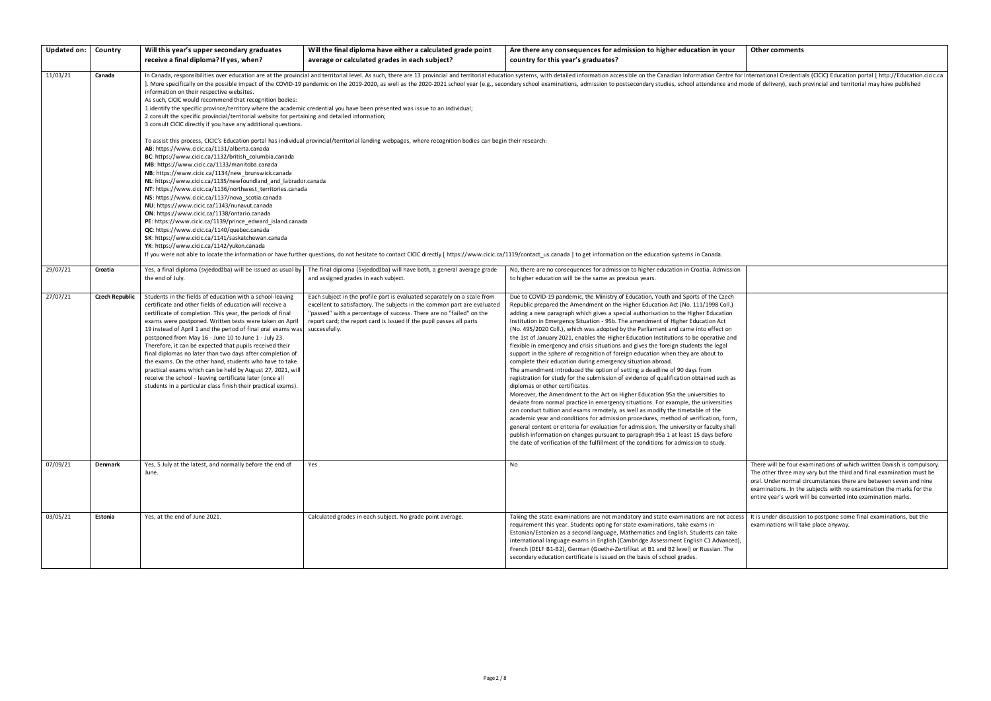International Credentials (CICIC) Education portal [ http://Education.cicic.ca ode of delivery), each provincial and territorial may have published

There will be four examinations of which written Danish is compulsory. The other three may vary but the third and final examination must be oral. Under normal circumstances there are between seven and nine examinations. In the subjects with no examination the marks for the entire year's work will be converted into examination marks.

It is under discussion to postpone some final examinations, but the examinations will take place anyway.

| <b>Updated on:</b> | Country               | Will this year's upper secondary graduates                                                                                                                                                                                                                                                                                                                                                                                                                                                                                                                                                                                                                                                                                                            | Will the final diploma have either a calculated grade point                                                                                                                                                                                                                                                          | Are there any consequences for admission to higher education in your                                                                                                                                                                                                                                                                                                                                                                                                                                                                                                                                                                                                                                                                                                                                                                                                                                                                                                                                                                                                                                                                                                                                                                                                                                                                                                                                                                                                                                                                                                                                                |
|--------------------|-----------------------|-------------------------------------------------------------------------------------------------------------------------------------------------------------------------------------------------------------------------------------------------------------------------------------------------------------------------------------------------------------------------------------------------------------------------------------------------------------------------------------------------------------------------------------------------------------------------------------------------------------------------------------------------------------------------------------------------------------------------------------------------------|----------------------------------------------------------------------------------------------------------------------------------------------------------------------------------------------------------------------------------------------------------------------------------------------------------------------|---------------------------------------------------------------------------------------------------------------------------------------------------------------------------------------------------------------------------------------------------------------------------------------------------------------------------------------------------------------------------------------------------------------------------------------------------------------------------------------------------------------------------------------------------------------------------------------------------------------------------------------------------------------------------------------------------------------------------------------------------------------------------------------------------------------------------------------------------------------------------------------------------------------------------------------------------------------------------------------------------------------------------------------------------------------------------------------------------------------------------------------------------------------------------------------------------------------------------------------------------------------------------------------------------------------------------------------------------------------------------------------------------------------------------------------------------------------------------------------------------------------------------------------------------------------------------------------------------------------------|
|                    |                       | receive a final diploma? If yes, when?                                                                                                                                                                                                                                                                                                                                                                                                                                                                                                                                                                                                                                                                                                                | average or calculated grades in each subject?                                                                                                                                                                                                                                                                        | country for this year's graduates?                                                                                                                                                                                                                                                                                                                                                                                                                                                                                                                                                                                                                                                                                                                                                                                                                                                                                                                                                                                                                                                                                                                                                                                                                                                                                                                                                                                                                                                                                                                                                                                  |
| 11/03/21           | Canada                | information on their respective websites.<br>As such, CICIC would recommend that recognition bodies:<br>2.consult the specific provincial/territorial website for pertaining and detailed information;<br>3. consult CICIC directly if you have any additional questions.<br>AB: https://www.cicic.ca/1131/alberta.canada<br>BC: https://www.cicic.ca/1132/british_columbia.canada<br>MB: https://www.cicic.ca/1133/manitoba.canada                                                                                                                                                                                                                                                                                                                   | 1.identify the specific province/territory where the academic credential you have been presented was issue to an individual;<br>To assist this process, CICIC's Education portal has individual provincial/territorial landing webpages, where recognition bodies can begin their research:                          | In Canada, responsibilities over education are at the provincial and territorial level. As such, there are 13 provincial and territorial education systems, with detailed information accessible on the Canadian Information C<br>. More specifically on the possible impact of the COVID-19 pandemic on the 2019-2020, as well as the 2020-2021 school year (e.g., secondary school examinations, admission to postsecondary studies, school attendance and mo                                                                                                                                                                                                                                                                                                                                                                                                                                                                                                                                                                                                                                                                                                                                                                                                                                                                                                                                                                                                                                                                                                                                                     |
|                    |                       | NB: https://www.cicic.ca/1134/new_brunswick.canada<br>NL: https://www.cicic.ca/1135/newfoundland_and_labrador.canada<br>NT: https://www.cicic.ca/1136/northwest_territories.canada<br>NS: https://www.cicic.ca/1137/nova_scotia.canada<br>NU: https://www.cicic.ca/1143/nunavut.canada<br>ON: https://www.cicic.ca/1138/ontario.canada<br>PE: https://www.cicic.ca/1139/prince_edward_island.canada<br>QC: https://www.cicic.ca/1140/quebec.canada<br>SK: https://www.cicic.ca/1141/saskatchewan.canada<br>YK: https://www.cicic.ca/1142/yukon.canada                                                                                                                                                                                                 |                                                                                                                                                                                                                                                                                                                      | If you were not able to locate the information or have further questions, do not hesitate to contact CICIC directly [ https://www.cicic.ca/1119/contact_us.canada ] to get information on the education systems in Canada.                                                                                                                                                                                                                                                                                                                                                                                                                                                                                                                                                                                                                                                                                                                                                                                                                                                                                                                                                                                                                                                                                                                                                                                                                                                                                                                                                                                          |
| 29/07/21           | Croatia               | Yes, a final diploma (svjedodžba) will be issued as usual by<br>the end of July.                                                                                                                                                                                                                                                                                                                                                                                                                                                                                                                                                                                                                                                                      | The final diploma (Svjedodžba) will have both, a general average grade<br>and assigned grades in each subject.                                                                                                                                                                                                       | No, there are no consequences for admission to higher education in Croatia. Admission<br>to higher education will be the same as previous years.                                                                                                                                                                                                                                                                                                                                                                                                                                                                                                                                                                                                                                                                                                                                                                                                                                                                                                                                                                                                                                                                                                                                                                                                                                                                                                                                                                                                                                                                    |
| 27/07/21           | <b>Czech Republic</b> | Students in the fields of education with a school-leaving<br>certificate and other fields of education will receive a<br>certificate of completion. This year, the periods of final<br>exams were postponed. Written tests were taken on April<br>19 instead of April 1 and the period of final oral exams was<br>postponed from May 16 - June 10 to June 1 - July 23.<br>Therefore, it can be expected that pupils received their<br>final diplomas no later than two days after completion of<br>the exams. On the other hand, students who have to take<br>practical exams which can be held by August 27, 2021, will<br>receive the school - leaving certificate later (once all<br>students in a particular class finish their practical exams). | Each subject in the profile part is evaluated separately on a scale from<br>excellent to satisfactory. The subjects in the common part are evaluated<br>"passed" with a percentage of success. There are no "failed" on the<br>report card; the report card is issued if the pupil passes all parts<br>successfully. | Due to COVID-19 pandemic, the Ministry of Education, Youth and Sports of the Czech<br>Republic prepared the Amendment on the Higher Education Act (No. 111/1998 Coll.)<br>adding a new paragraph which gives a special authorisation to the Higher Education<br>Institution in Emergency Situation - 95b. The amendment of Higher Education Act<br>(No. 495/2020 Coll.), which was adopted by the Parliament and came into effect on<br>the 1st of January 2021, enables the Higher Education Institutions to be operative and<br>flexible in emergency and crisis situations and gives the foreign students the legal<br>support in the sphere of recognition of foreign education when they are about to<br>complete their education during emergency situation abroad.<br>The amendment introduced the option of setting a deadline of 90 days from<br>registration for study for the submission of evidence of qualification obtained such as<br>diplomas or other certificates.<br>Moreover, the Amendment to the Act on Higher Education 95a the universities to<br>deviate from normal practice in emergency situations. For example, the universities<br>can conduct tuition and exams remotely, as well as modify the timetable of the<br>academic year and conditions for admission procedures, method of verification, form,<br>general content or criteria for evaluation for admission. The university or faculty shall<br>publish information on changes pursuant to paragraph 95a 1 at least 15 days before<br>the date of verification of the fulfillment of the conditions for admission to study. |
| 07/09/21           | <b>Denmark</b>        | Yes, 5 July at the latest, and normally before the end of<br>June.                                                                                                                                                                                                                                                                                                                                                                                                                                                                                                                                                                                                                                                                                    | Yes                                                                                                                                                                                                                                                                                                                  | No                                                                                                                                                                                                                                                                                                                                                                                                                                                                                                                                                                                                                                                                                                                                                                                                                                                                                                                                                                                                                                                                                                                                                                                                                                                                                                                                                                                                                                                                                                                                                                                                                  |
| 03/05/21           | Estonia               | Yes, at the end of June 2021.                                                                                                                                                                                                                                                                                                                                                                                                                                                                                                                                                                                                                                                                                                                         | Calculated grades in each subject. No grade point average.                                                                                                                                                                                                                                                           | Taking the state examinations are not mandatory and state examinations are not access<br>requirement this year. Students opting for state examinations, take exams in<br>Estonian/Estonian as a second language, Mathematics and English. Students can take<br>international language exams in English (Cambridge Assessment English C1 Advanced),<br>French (DELF B1-B2), German (Goethe-Zertifikat at B1 and B2 level) or Russian. The<br>secondary education certificate is issued on the basis of school grades.                                                                                                                                                                                                                                                                                                                                                                                                                                                                                                                                                                                                                                                                                                                                                                                                                                                                                                                                                                                                                                                                                                |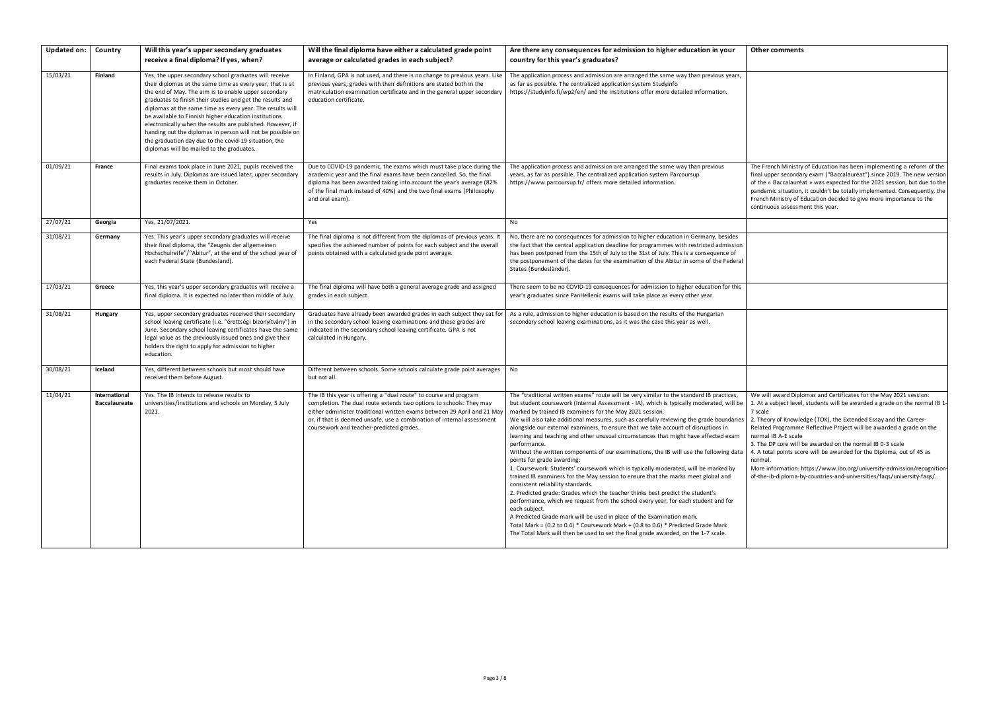The French Ministry of Education has been implementing a reform of the final upper secondary exam ("Baccalauréat") since 2019. The new version of the « Baccalauréat » was expected for the 2021 session, but due to the pandemic situation, it couldn't be totally implemented. Consequently, the French Ministry of Education decided to give more importance to the continuous assessment this year.

| <b>Updated on:</b> | Country                               | Will this year's upper secondary graduates<br>receive a final diploma? If yes, when?                                                                                                                                                                                                                                                                                                                                                                                                                                                                                                             | Will the final diploma have either a calculated grade point<br>average or calculated grades in each subject?                                                                                                                                                                                                                              | Are there any consequences for admission to higher education in your<br>country for this year's graduates?                                                                                                                                                                                                                                                                                                                                                                                                                                                                                                                                                                                                                                                                                                                                                                                                                                                                                                                                                                                                                                                                                                                                                                                                                                           |
|--------------------|---------------------------------------|--------------------------------------------------------------------------------------------------------------------------------------------------------------------------------------------------------------------------------------------------------------------------------------------------------------------------------------------------------------------------------------------------------------------------------------------------------------------------------------------------------------------------------------------------------------------------------------------------|-------------------------------------------------------------------------------------------------------------------------------------------------------------------------------------------------------------------------------------------------------------------------------------------------------------------------------------------|------------------------------------------------------------------------------------------------------------------------------------------------------------------------------------------------------------------------------------------------------------------------------------------------------------------------------------------------------------------------------------------------------------------------------------------------------------------------------------------------------------------------------------------------------------------------------------------------------------------------------------------------------------------------------------------------------------------------------------------------------------------------------------------------------------------------------------------------------------------------------------------------------------------------------------------------------------------------------------------------------------------------------------------------------------------------------------------------------------------------------------------------------------------------------------------------------------------------------------------------------------------------------------------------------------------------------------------------------|
| 15/03/21           | Finland                               | Yes, the upper secondary school graduates will receive<br>their diplomas at the same time as every year, that is at<br>the end of May. The aim is to enable upper secondary<br>graduates to finish their studies and get the results and<br>diplomas at the same time as every year. The results will<br>be available to Finnish higher education institutions<br>electronically when the results are published. However, if<br>handing out the diplomas in person will not be possible on<br>the graduation day due to the covid-19 situation, the<br>diplomas will be mailed to the graduates. | In Finland, GPA is not used, and there is no change to previous years. Like<br>previous years, grades with their definitions are stated both in the<br>matriculation examination certificate and in the general upper secondary<br>education certificate.                                                                                 | The application process and admission are arranged the same way than previous years,<br>as far as possible. The centralized application system Studyinfo<br>https://studyinfo.fi/wp2/en/ and the institutions offer more detailed information.                                                                                                                                                                                                                                                                                                                                                                                                                                                                                                                                                                                                                                                                                                                                                                                                                                                                                                                                                                                                                                                                                                       |
| 01/09/21           | France                                | Final exams took place in June 2021, pupils received the<br>results in July. Diplomas are issued later, upper secondary<br>graduates receive them in October.                                                                                                                                                                                                                                                                                                                                                                                                                                    | Due to COVID-19 pandemic, the exams which must take place during the<br>academic year and the final exams have been cancelled. So, the final<br>diploma has been awarded taking into account the year's average (82%<br>of the final mark instead of 40%) and the two final exams (Philosophy<br>and oral exam).                          | The application process and admission are arranged the same way than previous<br>years, as far as possible. The centralized application system Parcoursup<br>https://www.parcoursup.fr/ offers more detailed information.                                                                                                                                                                                                                                                                                                                                                                                                                                                                                                                                                                                                                                                                                                                                                                                                                                                                                                                                                                                                                                                                                                                            |
| 27/07/21           | Georgia                               | Yes, 21/07/2021.                                                                                                                                                                                                                                                                                                                                                                                                                                                                                                                                                                                 | Yes                                                                                                                                                                                                                                                                                                                                       | No                                                                                                                                                                                                                                                                                                                                                                                                                                                                                                                                                                                                                                                                                                                                                                                                                                                                                                                                                                                                                                                                                                                                                                                                                                                                                                                                                   |
| 31/08/21           | Germany                               | Yes. This year's upper secondary graduates will receive<br>their final diploma, the "Zeugnis der allgemeinen<br>Hochschulreife"/"Abitur", at the end of the school year of<br>each Federal State (Bundesland).                                                                                                                                                                                                                                                                                                                                                                                   | The final diploma is not different from the diplomas of previous years. It<br>specifies the achieved number of points for each subject and the overall<br>points obtained with a calculated grade point average.                                                                                                                          | No, there are no consequences for admission to higher education in Germany, besides<br>the fact that the central application deadline for programmes with restricted admission<br>has been postponed from the 15th of July to the 31st of July. This is a consequence of<br>the postponement of the dates for the examination of the Abitur in some of the Federal<br>States (Bundesländer).                                                                                                                                                                                                                                                                                                                                                                                                                                                                                                                                                                                                                                                                                                                                                                                                                                                                                                                                                         |
| 17/03/21           | Greece                                | Yes, this year's upper secondary graduates will receive a<br>final diploma. It is expected no later than middle of July.                                                                                                                                                                                                                                                                                                                                                                                                                                                                         | The final diploma will have both a general average grade and assigned<br>grades in each subject.                                                                                                                                                                                                                                          | There seem to be no COVID-19 consequences for admission to higher education for this<br>year's graduates since PanHellenic exams will take place as every other year.                                                                                                                                                                                                                                                                                                                                                                                                                                                                                                                                                                                                                                                                                                                                                                                                                                                                                                                                                                                                                                                                                                                                                                                |
| 31/08/21           | Hungary                               | Yes, upper secondary graduates received their secondary<br>school leaving certificate (i.e. "érettségi bizonyítvány") in<br>June. Secondary school leaving certificates have the same<br>legal value as the previously issued ones and give their<br>holders the right to apply for admission to higher<br>education.                                                                                                                                                                                                                                                                            | Graduates have already been awarded grades in each subject they sat for<br>in the secondary school leaving examinations and these grades are<br>indicated in the secondary school leaving certificate. GPA is not<br>calculated in Hungary.                                                                                               | As a rule, admission to higher education is based on the results of the Hungarian<br>secondary school leaving examinations, as it was the case this year as well.                                                                                                                                                                                                                                                                                                                                                                                                                                                                                                                                                                                                                                                                                                                                                                                                                                                                                                                                                                                                                                                                                                                                                                                    |
| 30/08/21           | Iceland                               | Yes, different between schools but most should have<br>received them before August.                                                                                                                                                                                                                                                                                                                                                                                                                                                                                                              | Different between schools. Some schools calculate grade point averages<br>but not all.                                                                                                                                                                                                                                                    | No                                                                                                                                                                                                                                                                                                                                                                                                                                                                                                                                                                                                                                                                                                                                                                                                                                                                                                                                                                                                                                                                                                                                                                                                                                                                                                                                                   |
| 11/04/21           | International<br><b>Baccalaureate</b> | Yes. The IB intends to release results to<br>universities/institutions and schools on Monday, 5 July<br>2021.                                                                                                                                                                                                                                                                                                                                                                                                                                                                                    | The IB this year is offering a "dual route" to course and program<br>completion. The dual route extends two options to schools: They may<br>either administer traditional written exams between 29 April and 21 May<br>or, if that is deemed unsafe, use a combination of internal assessment<br>coursework and teacher-predicted grades. | The "traditional written exams" route will be very similar to the standard IB practices,<br>but student coursework (Internal Assessment - IA), which is typically moderated, will be<br>marked by trained IB examiners for the May 2021 session.<br>We will also take additional measures, such as carefully reviewing the grade boundaries<br>alongside our external examiners, to ensure that we take account of disruptions in<br>learning and teaching and other unusual circumstances that might have affected exam<br>performance.<br>Without the written components of our examinations, the IB will use the following data<br>points for grade awarding:<br>1. Coursework: Students' coursework which is typically moderated, will be marked by<br>trained IB examiners for the May session to ensure that the marks meet global and<br>consistent reliability standards.<br>2. Predicted grade: Grades which the teacher thinks best predict the student's<br>performance, which we request from the school every year, for each student and for<br>each subject.<br>A Predicted Grade mark will be used in place of the Examination mark.<br>Total Mark = $(0.2 \text{ to } 0.4)$ * Coursework Mark + $(0.8 \text{ to } 0.6)$ * Predicted Grade Mark<br>The Total Mark will then be used to set the final grade awarded, on the 1-7 scale. |

We will award Diplomas and Certificates for the May 2021 session: 1. At a subject level, students will be awarded a grade on the normal IB 1- 7 scale

2. Theory of Knowledge (TOK), the Extended Essay and the Career-Related Programme Reflective Project will be awarded a grade on the normal IB A-E scale

3. The DP core will be awarded on the normal IB 0-3 scale

4. A total points score will be awarded for the Diploma, out of 45 as normal.

More information: https://www.ibo.org/university-admission/recognitionof-the-ib-diploma-by-countries-and-universities/faqs/university-faqs/.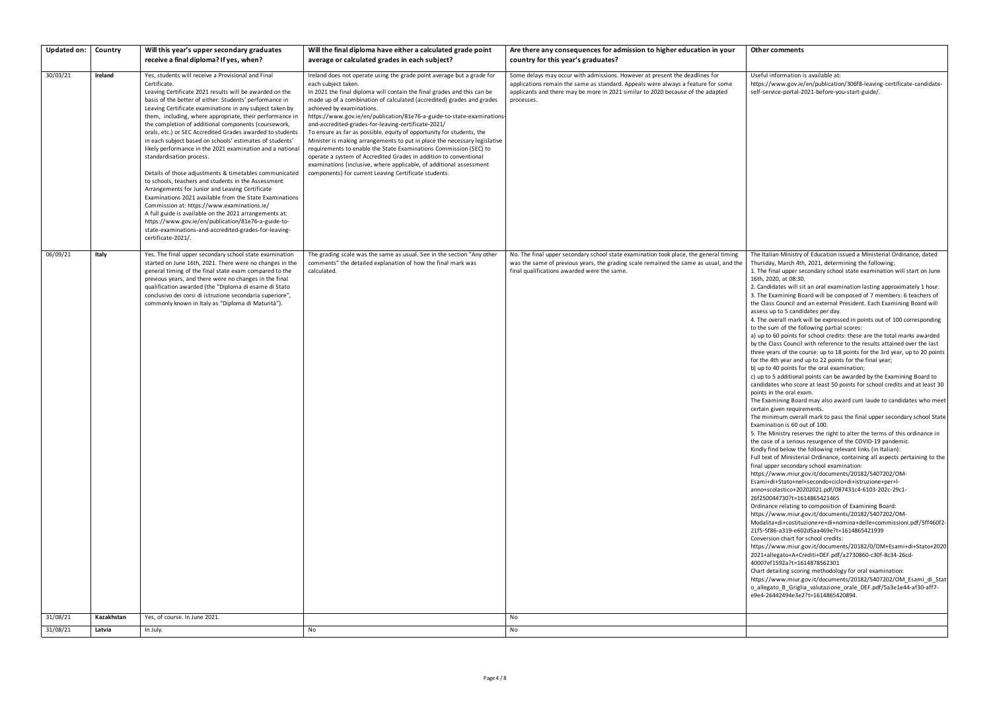| Useful information is available at:                                    |
|------------------------------------------------------------------------|
| https://www.gov.ie/en/publication/306f8-leaving-certificate-candidate- |
| self-service-portal-2021-before-you-start-guide/.                      |

The Italian Ministry of Education issued a Ministerial Ordinance, dated Thursday, March 4th, 2021, determining the following:

1. The final upper secondary school state examination will start on June 16th, 2020, at 08:30.

| <b>Updated on:</b>   | Country             | Will this year's upper secondary graduates<br>receive a final diploma? If yes, when?                                                                                                                                                                                                                                                                                                                                                                                                                                                                                                                                                                                                                                                                                                                                                                                                                                                                                                                                                                                     | Will the final diploma have either a calculated grade point<br>average or calculated grades in each subject?                                                                                                                                                                                                                                                                                                                                                                                                                                                                                                                                                                                                                                                                                                                                    | Are there any consequences for admission to higher education in your<br>country for this year's graduates?                                                                                                                                                       |
|----------------------|---------------------|--------------------------------------------------------------------------------------------------------------------------------------------------------------------------------------------------------------------------------------------------------------------------------------------------------------------------------------------------------------------------------------------------------------------------------------------------------------------------------------------------------------------------------------------------------------------------------------------------------------------------------------------------------------------------------------------------------------------------------------------------------------------------------------------------------------------------------------------------------------------------------------------------------------------------------------------------------------------------------------------------------------------------------------------------------------------------|-------------------------------------------------------------------------------------------------------------------------------------------------------------------------------------------------------------------------------------------------------------------------------------------------------------------------------------------------------------------------------------------------------------------------------------------------------------------------------------------------------------------------------------------------------------------------------------------------------------------------------------------------------------------------------------------------------------------------------------------------------------------------------------------------------------------------------------------------|------------------------------------------------------------------------------------------------------------------------------------------------------------------------------------------------------------------------------------------------------------------|
| 30/03/21             | Ireland             | Yes, students will receive a Provisional and Final<br>Certificate.<br>Leaving Certificate 2021 results will be awarded on the<br>basis of the better of either: Students' performance in<br>Leaving Certificate examinations in any subject taken by<br>them, including, where appropriate, their performance in<br>the completion of additional components (coursework,<br>orals, etc.) or SEC Accredited Grades awarded to students<br>in each subject based on schools' estimates of students'<br>likely performance in the 2021 examination and a national<br>standardisation process.<br>Details of those adjustments & timetables communicated<br>to schools, teachers and students in the Assessment<br>Arrangements for Junior and Leaving Certificate<br>Examinations 2021 available from the State Examinations<br>Commission at: https://www.examinations.ie/<br>A full guide is available on the 2021 arrangements at:<br>https://www.gov.ie/en/publication/81e76-a-guide-to-<br>state-examinations-and-accredited-grades-for-leaving-<br>certificate-2021/. | Ireland does not operate using the grade point average but a grade for<br>each subject taken.<br>In 2021 the final diploma will contain the final grades and this can be<br>made up of a combination of calculated (accredited) grades and grades<br>achieved by examinations.<br>https://www.gov.ie/en/publication/81e76-a-guide-to-state-examinations-<br>and-accredited-grades-for-leaving-certificate-2021/<br>To ensure as far as possible, equity of opportunity for students, the<br>Minister is making arrangements to put in place the necessary legislative<br>requirements to enable the State Examinations Commission (SEC) to<br>operate a system of Accredited Grades in addition to conventional<br>examinations (inclusive, where applicable, of additional assessment<br>components) for current Leaving Certificate students. | Some delays may occur with admissions. However at present the deadlines for<br>applications remain the same as standard. Appeals were always a feature for some<br>applicants and there may be more in 2021 similar to 2020 because of the adapted<br>processes. |
| 06/09/21<br>31/08/21 | Italy<br>Kazakhstan | Yes. The final upper secondary school state examination<br>started on June 16th, 2021. There were no changes in the<br>general timing of the final state exam compared to the<br>previous years, and there were no changes in the final<br>qualification awarded (the "Diploma di esame di Stato<br>conclusivo dei corsi di istruzione secondaria superiore",<br>commonly known in Italy as "Diploma di Maturità").<br>Yes, of course. In June 2021.                                                                                                                                                                                                                                                                                                                                                                                                                                                                                                                                                                                                                     | The grading scale was the same as usual. See in the section "Any other<br>comments" the detailed explanation of how the final mark was<br>calculated.                                                                                                                                                                                                                                                                                                                                                                                                                                                                                                                                                                                                                                                                                           | No. The final upper secondary school state examination took place, the general timing<br>was the same of previous years, the grading scale remained the same as usual, and the<br>final qualifications awarded were the same.<br>No                              |
|                      |                     |                                                                                                                                                                                                                                                                                                                                                                                                                                                                                                                                                                                                                                                                                                                                                                                                                                                                                                                                                                                                                                                                          |                                                                                                                                                                                                                                                                                                                                                                                                                                                                                                                                                                                                                                                                                                                                                                                                                                                 |                                                                                                                                                                                                                                                                  |
| 31/08/21             | Latvia              | In July.                                                                                                                                                                                                                                                                                                                                                                                                                                                                                                                                                                                                                                                                                                                                                                                                                                                                                                                                                                                                                                                                 | No                                                                                                                                                                                                                                                                                                                                                                                                                                                                                                                                                                                                                                                                                                                                                                                                                                              | No                                                                                                                                                                                                                                                               |

2. Candidates will sit an oral examination lasting approximately 1 hour. 3. The Examining Board will be composed of 7 members: 6 teachers of the Class Council and an external President. Each Examining Board will assess up to 5 candidates per day.

4. The overall mark will be expressed in points out of 100 corresponding to the sum of the following partial scores:

a) up to 60 points for school credits: these are the total marks awarded by the Class Council with reference to the results attained over the last three years of the course: up to 18 points for the 3rd year, up to 20 points for the 4th year and up to 22 points for the final year;

b) up to 40 points for the oral examination;

c) up to 5 additional points can be awarded by the Examining Board to candidates who score at least 50 points for school credits and at least 30 points in the oral exam.

The Examining Board may also award cum laude to candidates who meet certain given requirements.

The minimum overall mark to pass the final upper secondary school State Examination is 60 out of 100.

5. The Ministry reserves the right to alter the terms of this ordinance in the case of a serious resurgence of the COVID-19 pandemic.

Kindly find below the following relevant links (in Italian):

Full text of Ministerial Ordinance, containing all aspects pertaining to the final upper secondary school examination:

https://www.miur.gov.it/documents/20182/5407202/OM-

Esami+di+Stato+nel+secondo+ciclo+di+istruzione+per+l-

anno+scolastico+20202021.pdf/087431c4-6103-202c-29c1-

26f250044730?t=1614865421465

Ordinance relating to composition of Examining Board:

https://www.miur.gov.it/documents/20182/5407202/OM-

Modalita+di+costituzione+e+di+nomina+delle+commissioni.pdf/5ff460f2- 21f5-5f86-a319-e602d5aa469e?t=1614865421939

Conversion chart for school credits:

https://www.miur.gov.it/documents/20182/0/OM+Esami+di+Stato+2020 2021+allegato+A+Crediti+DEF.pdf/a2730860-c30f-8c34-26cd-40007ef1592a?t=1614878562301

Chart detailing scoring methodology for oral examination:

https://www.miur.gov.it/documents/20182/5407202/OM\_Esami\_di\_Stat o\_allegato\_B\_Griglia\_valutazione\_orale\_DEF.pdf/5a3e1e44-af30-aff7 e9e4-26442494e3e2?t=1614865420894.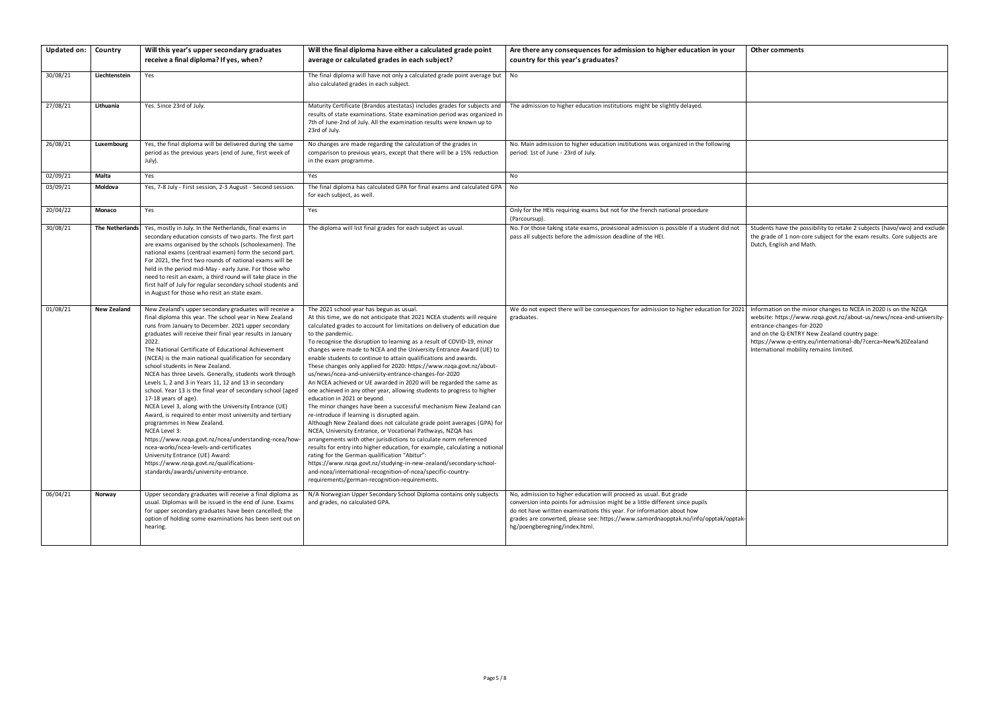| Other comments |  |
|----------------|--|
|----------------|--|

Information on the minor changes to NCEA in 2020 is on the NZQA website: https://www.nzqa.govt.nz/about-us/news/ncea-and-universityentrance-changes-for-2020

Students have the possibility to retake 2 subjects (havo/vwo) and exclude the grade of 1 non-core subject for the exam results. Core subjects are Dutch, English and Math.

| <b>Updated on:</b> | Country                | Will this year's upper secondary graduates<br>receive a final diploma? If yes, when?                                                                                                                                                                                                                                                                                                                                                                                                                                                                                                                                                                                                                                                                                                                                                                                                                                                                                                                            | Will the final diploma have either a calculated grade point<br>average or calculated grades in each subject?                                                                                                                                                                                                                                                                                                                                                                                                                                                                                                                                                                                                                                                                                                                                                                                                                                                                                                                                                                                                                                                                                                                                                                                                                                                                                                              | Are there any consequences for admission to higher education in your<br>country for this year's graduates?                                                                                                                                                                                                                                           |
|--------------------|------------------------|-----------------------------------------------------------------------------------------------------------------------------------------------------------------------------------------------------------------------------------------------------------------------------------------------------------------------------------------------------------------------------------------------------------------------------------------------------------------------------------------------------------------------------------------------------------------------------------------------------------------------------------------------------------------------------------------------------------------------------------------------------------------------------------------------------------------------------------------------------------------------------------------------------------------------------------------------------------------------------------------------------------------|---------------------------------------------------------------------------------------------------------------------------------------------------------------------------------------------------------------------------------------------------------------------------------------------------------------------------------------------------------------------------------------------------------------------------------------------------------------------------------------------------------------------------------------------------------------------------------------------------------------------------------------------------------------------------------------------------------------------------------------------------------------------------------------------------------------------------------------------------------------------------------------------------------------------------------------------------------------------------------------------------------------------------------------------------------------------------------------------------------------------------------------------------------------------------------------------------------------------------------------------------------------------------------------------------------------------------------------------------------------------------------------------------------------------------|------------------------------------------------------------------------------------------------------------------------------------------------------------------------------------------------------------------------------------------------------------------------------------------------------------------------------------------------------|
| 30/08/21           | Liechtenstein          | Yes                                                                                                                                                                                                                                                                                                                                                                                                                                                                                                                                                                                                                                                                                                                                                                                                                                                                                                                                                                                                             | The final diploma will have not only a calculated grade point average but<br>also calculated grades in each subject.                                                                                                                                                                                                                                                                                                                                                                                                                                                                                                                                                                                                                                                                                                                                                                                                                                                                                                                                                                                                                                                                                                                                                                                                                                                                                                      | No                                                                                                                                                                                                                                                                                                                                                   |
| 27/08/21           | Lithuania              | Yes. Since 23rd of July.                                                                                                                                                                                                                                                                                                                                                                                                                                                                                                                                                                                                                                                                                                                                                                                                                                                                                                                                                                                        | Maturity Certificate (Brandos atestatas) includes grades for subjects and<br>results of state examinations. State examination period was organized in<br>7th of June-2nd of July. All the examination results were known up to<br>23rd of July.                                                                                                                                                                                                                                                                                                                                                                                                                                                                                                                                                                                                                                                                                                                                                                                                                                                                                                                                                                                                                                                                                                                                                                           | The admission to higher education institutions might be slightly delayed.                                                                                                                                                                                                                                                                            |
| 26/08/21           | Luxembourg             | Yes, the final diploma will be delivered during the same<br>period as the previous years (end of June, first week of<br>July).                                                                                                                                                                                                                                                                                                                                                                                                                                                                                                                                                                                                                                                                                                                                                                                                                                                                                  | No changes are made regarding the calculation of the grades in<br>comparison to previous years, except that there will be a 15% reduction<br>in the exam programme.                                                                                                                                                                                                                                                                                                                                                                                                                                                                                                                                                                                                                                                                                                                                                                                                                                                                                                                                                                                                                                                                                                                                                                                                                                                       | No. Main admission to higher education institutions was organized in the following<br>period: 1st of June - 23rd of July.                                                                                                                                                                                                                            |
| 02/09/21           | Malta                  | Yes                                                                                                                                                                                                                                                                                                                                                                                                                                                                                                                                                                                                                                                                                                                                                                                                                                                                                                                                                                                                             | Yes                                                                                                                                                                                                                                                                                                                                                                                                                                                                                                                                                                                                                                                                                                                                                                                                                                                                                                                                                                                                                                                                                                                                                                                                                                                                                                                                                                                                                       | No                                                                                                                                                                                                                                                                                                                                                   |
| 03/09/21           | Moldova                | Yes, 7-8 July - First session, 2-3 August - Second session.                                                                                                                                                                                                                                                                                                                                                                                                                                                                                                                                                                                                                                                                                                                                                                                                                                                                                                                                                     | The final diploma has calculated GPA for final exams and calculated GPA<br>for each subject, as well.                                                                                                                                                                                                                                                                                                                                                                                                                                                                                                                                                                                                                                                                                                                                                                                                                                                                                                                                                                                                                                                                                                                                                                                                                                                                                                                     | No                                                                                                                                                                                                                                                                                                                                                   |
| 20/04/22           | Monaco                 | Yes                                                                                                                                                                                                                                                                                                                                                                                                                                                                                                                                                                                                                                                                                                                                                                                                                                                                                                                                                                                                             | Yes                                                                                                                                                                                                                                                                                                                                                                                                                                                                                                                                                                                                                                                                                                                                                                                                                                                                                                                                                                                                                                                                                                                                                                                                                                                                                                                                                                                                                       | Only for the HEIs requiring exams but not for the french national procedure<br>(Parcoursup).                                                                                                                                                                                                                                                         |
| 30/08/21           | <b>The Netherlands</b> | Yes, mostly in July. In the Netherlands, final exams in<br>secondary education consists of two parts. The first part<br>are exams organised by the schools (schoolexamen). The<br>national exams (centraal examen) form the second part.<br>For 2021, the first two rounds of national exams will be<br>held in the period mid-May - early June. For those who<br>need to resit an exam, a third round will take place in the<br>first half of July for regular secondary school students and<br>in August for those who resit an state exam.                                                                                                                                                                                                                                                                                                                                                                                                                                                                   | The diploma will list final grades for each subject as usual.                                                                                                                                                                                                                                                                                                                                                                                                                                                                                                                                                                                                                                                                                                                                                                                                                                                                                                                                                                                                                                                                                                                                                                                                                                                                                                                                                             | No. For those taking state exams, provisional admission is possible if a student did not<br>pass all subjects before the admission deadline of the HEI.                                                                                                                                                                                              |
| 01/08/21           | <b>New Zealand</b>     | New Zealand's upper secondary graduates will receive a<br>final diploma this year. The school year in New Zealand<br>runs from January to December. 2021 upper secondary<br>graduates will receive their final year results in January<br>2022.<br>The National Certificate of Educational Achievement<br>(NCEA) is the main national qualification for secondary<br>school students in New Zealand.<br>NCEA has three Levels. Generally, students work through<br>Levels 1, 2 and 3 in Years 11, 12 and 13 in secondary<br>school. Year 13 is the final year of secondary school (aged<br>17-18 years of age).<br>NCEA Level 3, along with the University Entrance (UE)<br>Award, is required to enter most university and tertiary<br>programmes in New Zealand.<br>NCEA Level 3:<br>https://www.nzqa.govt.nz/ncea/understanding-ncea/how-<br>ncea-works/ncea-levels-and-certificates<br>University Entrance (UE) Award:<br>https://www.nzqa.govt.nz/qualifications-<br>standards/awards/university-entrance. | The 2021 school year has begun as usual.<br>At this time, we do not anticipate that 2021 NCEA students will require<br>calculated grades to account for limitations on delivery of education due<br>to the pandemic.<br>To recognise the disruption to learning as a result of COVID-19, minor<br>changes were made to NCEA and the University Entrance Award (UE) to<br>enable students to continue to attain qualifications and awards.<br>These changes only applied for 2020: https://www.nzqa.govt.nz/about-<br>us/news/ncea-and-university-entrance-changes-for-2020<br>An NCEA achieved or UE awarded in 2020 will be regarded the same as<br>one achieved in any other year, allowing students to progress to higher<br>education in 2021 or beyond.<br>The minor changes have been a successful mechanism New Zealand can<br>re-introduce if learning is disrupted again.<br>Although New Zealand does not calculate grade point averages (GPA) for<br>NCEA, University Entrance, or Vocational Pathways, NZQA has<br>arrangements with other jurisdictions to calculate norm referenced<br>results for entry into higher education, for example, calculating a notional<br>rating for the German qualification "Abitur":<br>https://www.nzqa.govt.nz/studying-in-new-zealand/secondary-school-<br>and-ncea/international-recognition-of-ncea/specific-country-<br>requirements/german-recognition-requirements. | We do not expect there will be consequences for admission to higher education for 2021<br>graduates.                                                                                                                                                                                                                                                 |
| 06/04/21           | Norway                 | Upper secondary graduates will receive a final diploma as<br>usual. Diplomas will be issued in the end of June. Exams<br>for upper secondary graduates have been cancelled; the<br>option of holding some examinations has been sent out on<br>hearing.                                                                                                                                                                                                                                                                                                                                                                                                                                                                                                                                                                                                                                                                                                                                                         | N/A Norwegian Upper Secondary School Diploma contains only subjects<br>and grades, no calculated GPA.                                                                                                                                                                                                                                                                                                                                                                                                                                                                                                                                                                                                                                                                                                                                                                                                                                                                                                                                                                                                                                                                                                                                                                                                                                                                                                                     | No, admission to higher education will proceed as usual. But grade<br>conversion into points for admission might be a little different since pupils<br>do not have written examinations this year. For information about how<br>grades are converted, please see: https://www.samordnaopptak.no/info/opptak/opptak-<br>hg/poengberegning/index.html. |

and on the Q-ENTRY New Zealand country page:

https://www.q-entry.eu/international-db/?cerca=New%20Zealand International mobility remains limited.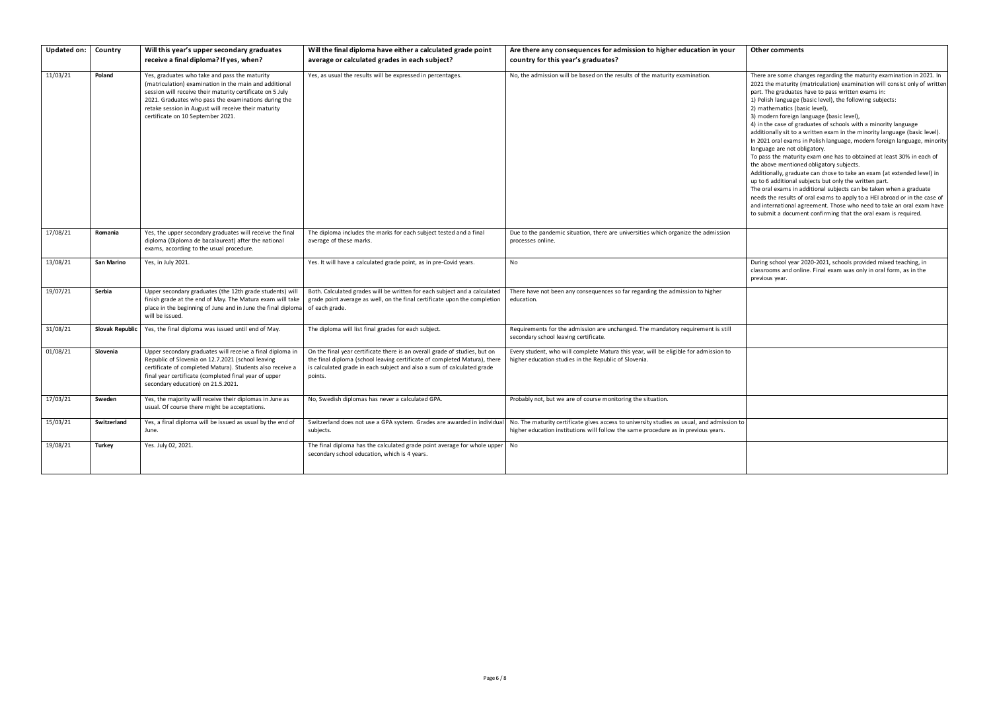There are some changes regarding the maturity examination in 2021. In 2021 the maturity (matriculation) examination will consist only of written part. The graduates have to pass written exams in:

1) Polish language (basic level), the following subjects:

2) mathematics (basic level),

3) modern foreign language (basic level),

4) in the case of graduates of schools with a minority language

During school year 2020-2021, schools provided mixed teaching, in classrooms and online. Final exam was only in oral form, as in the previous year.

additionally sit to a written exam in the minority language (basic level). In 2021 oral exams in Polish language, modern foreign language, minority language are not obligatory.

To pass the maturity exam one has to obtained at least 30% in each of the above mentioned obligatory subjects.

Additionally, graduate can chose to take an exam (at extended level) in up to 6 additional subjects but only the written part.

The oral exams in additional subjects can be taken when a graduate needs the results of oral exams to apply to a HEI abroad or in the case of and international agreement. Those who need to take an oral exam have to submit a document confirming that the oral exam is required.

| <b>Updated on:</b> | Country         | Will this year's upper secondary graduates<br>receive a final diploma? If yes, when?                                                                                                                                                                                                                                      | Will the final diploma have either a calculated grade point<br>average or calculated grades in each subject?                                                                                                                                 | Are there any consequences for admission to higher education in your<br>country for this year's graduates?                                                                       |
|--------------------|-----------------|---------------------------------------------------------------------------------------------------------------------------------------------------------------------------------------------------------------------------------------------------------------------------------------------------------------------------|----------------------------------------------------------------------------------------------------------------------------------------------------------------------------------------------------------------------------------------------|----------------------------------------------------------------------------------------------------------------------------------------------------------------------------------|
| 11/03/21           | Poland          | Yes, graduates who take and pass the maturity<br>(matriculation) examination in the main and additional<br>session will receive their maturity certificate on 5 July<br>2021. Graduates who pass the examinations during the<br>retake session in August will receive their maturity<br>certificate on 10 September 2021. | Yes, as usual the results will be expressed in percentages.                                                                                                                                                                                  | No, the admission will be based on the results of the maturity examination.                                                                                                      |
| 17/08/21           | Romania         | Yes, the upper secondary graduates will receive the final<br>diploma (Diploma de bacalaureat) after the national<br>exams, according to the usual procedure.                                                                                                                                                              | The diploma includes the marks for each subject tested and a final<br>average of these marks.                                                                                                                                                | Due to the pandemic situation, there are universities which organize the admission<br>processes online.                                                                          |
| 13/08/21           | San Marino      | Yes, in July 2021.                                                                                                                                                                                                                                                                                                        | Yes. It will have a calculated grade point, as in pre-Covid years.                                                                                                                                                                           | <b>No</b>                                                                                                                                                                        |
| 19/07/21           | Serbia          | Upper secondary graduates (the 12th grade students) will<br>finish grade at the end of May. The Matura exam will take<br>place in the beginning of June and in June the final diploma<br>will be issued.                                                                                                                  | Both. Calculated grades will be written for each subject and a calculated<br>grade point average as well, on the final certificate upon the completion<br>of each grade.                                                                     | There have not been any consequences so far regarding the admission to higher<br>education.                                                                                      |
| 31/08/21           | Slovak Republic | Yes, the final diploma was issued until end of May.                                                                                                                                                                                                                                                                       | The diploma will list final grades for each subject.                                                                                                                                                                                         | Requirements for the admission are unchanged. The mandatory requirement is still<br>secondary school leaving certificate.                                                        |
| 01/08/21           | Slovenia        | Upper secondary graduates will receive a final diploma in<br>Republic of Slovenia on 12.7.2021 (school leaving<br>certificate of completed Matura). Students also receive a<br>final year certificate (completed final year of upper<br>secondary education) on 21.5.2021.                                                | On the final year certificate there is an overall grade of studies, but on<br>the final diploma (school leaving certificate of completed Matura), there<br>is calculated grade in each subject and also a sum of calculated grade<br>points. | Every student, who will complete Matura this year, will be eligible for admission to<br>higher education studies in the Republic of Slovenia.                                    |
| 17/03/21           | Sweden          | Yes, the majority will receive their diplomas in June as<br>usual. Of course there might be acceptations.                                                                                                                                                                                                                 | No, Swedish diplomas has never a calculated GPA.                                                                                                                                                                                             | Probably not, but we are of course monitoring the situation.                                                                                                                     |
| 15/03/21           | Switzerland     | Yes, a final diploma will be issued as usual by the end of<br>June.                                                                                                                                                                                                                                                       | Switzerland does not use a GPA system. Grades are awarded in individual<br>subjects.                                                                                                                                                         | No. The maturity certificate gives access to university studies as usual, and admission to<br>higher education institutions will follow the same procedure as in previous years. |
| 19/08/21           | <b>Turkey</b>   | Yes. July 02, 2021.                                                                                                                                                                                                                                                                                                       | The final diploma has the calculated grade point average for whole upper<br>secondary school education, which is 4 years.                                                                                                                    | No                                                                                                                                                                               |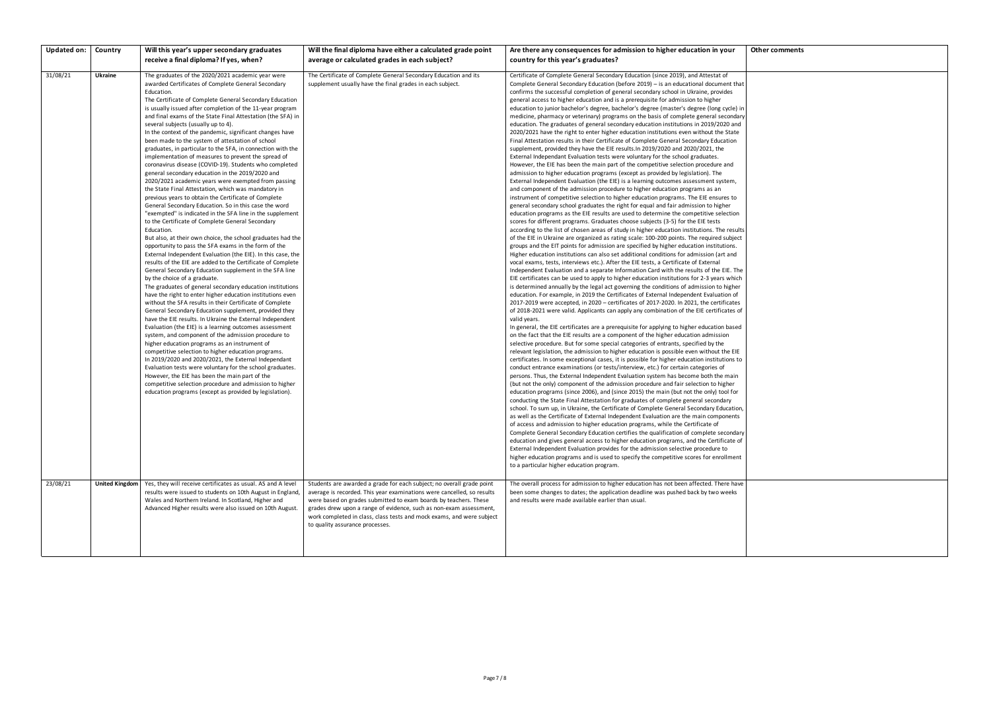| <b>Updated on:</b> | Country               | Will this year's upper secondary graduates                                                                                                                                                                                                                                                                                                                                                                                                                                                                                                                                                                                                                                                                                                                                                                                                                                                                                                                                                                                                                                                                                                                                                                                                                                                                                                                                                                                                                                                                                                                                                                                                                                                                                                                                                                                                                                                                                                                                                                                                                                                                                                                                                                                                               | Will the final diploma have either a calculated grade point                                                                                                                                                                                                                                                                                                                                           | Are there any consequences for admission to higher education in your                                                                                                                                                                                                                                                                                                                                                                                                                                                                                                                                                                                                                                                                                                                                                                                                                                                                                                                                                                                                                                                                                                                                                                                                                                                                                                                                                                                                                                                                                                                                                                                                                                                                                                                                                                                                                                                                                                                                                                                                                                                                                                                                                                                                                                                                                                                                                                                                                                                                                                                                                                                                                                                                                                                                                                                                                                                                                                                                                                                                                                                                                                                                                                                                                                                                                                                                                                                                                                                                                                                                                                                                                                                                                                                                                                                                                                                                                                                                                                                                                                                                                                                                                                                                                                                                                                                         |
|--------------------|-----------------------|----------------------------------------------------------------------------------------------------------------------------------------------------------------------------------------------------------------------------------------------------------------------------------------------------------------------------------------------------------------------------------------------------------------------------------------------------------------------------------------------------------------------------------------------------------------------------------------------------------------------------------------------------------------------------------------------------------------------------------------------------------------------------------------------------------------------------------------------------------------------------------------------------------------------------------------------------------------------------------------------------------------------------------------------------------------------------------------------------------------------------------------------------------------------------------------------------------------------------------------------------------------------------------------------------------------------------------------------------------------------------------------------------------------------------------------------------------------------------------------------------------------------------------------------------------------------------------------------------------------------------------------------------------------------------------------------------------------------------------------------------------------------------------------------------------------------------------------------------------------------------------------------------------------------------------------------------------------------------------------------------------------------------------------------------------------------------------------------------------------------------------------------------------------------------------------------------------------------------------------------------------|-------------------------------------------------------------------------------------------------------------------------------------------------------------------------------------------------------------------------------------------------------------------------------------------------------------------------------------------------------------------------------------------------------|----------------------------------------------------------------------------------------------------------------------------------------------------------------------------------------------------------------------------------------------------------------------------------------------------------------------------------------------------------------------------------------------------------------------------------------------------------------------------------------------------------------------------------------------------------------------------------------------------------------------------------------------------------------------------------------------------------------------------------------------------------------------------------------------------------------------------------------------------------------------------------------------------------------------------------------------------------------------------------------------------------------------------------------------------------------------------------------------------------------------------------------------------------------------------------------------------------------------------------------------------------------------------------------------------------------------------------------------------------------------------------------------------------------------------------------------------------------------------------------------------------------------------------------------------------------------------------------------------------------------------------------------------------------------------------------------------------------------------------------------------------------------------------------------------------------------------------------------------------------------------------------------------------------------------------------------------------------------------------------------------------------------------------------------------------------------------------------------------------------------------------------------------------------------------------------------------------------------------------------------------------------------------------------------------------------------------------------------------------------------------------------------------------------------------------------------------------------------------------------------------------------------------------------------------------------------------------------------------------------------------------------------------------------------------------------------------------------------------------------------------------------------------------------------------------------------------------------------------------------------------------------------------------------------------------------------------------------------------------------------------------------------------------------------------------------------------------------------------------------------------------------------------------------------------------------------------------------------------------------------------------------------------------------------------------------------------------------------------------------------------------------------------------------------------------------------------------------------------------------------------------------------------------------------------------------------------------------------------------------------------------------------------------------------------------------------------------------------------------------------------------------------------------------------------------------------------------------------------------------------------------------------------------------------------------------------------------------------------------------------------------------------------------------------------------------------------------------------------------------------------------------------------------------------------------------------------------------------------------------------------------------------------------------------------------------------------------------------------------------------------------------------|
|                    |                       | receive a final diploma? If yes, when?                                                                                                                                                                                                                                                                                                                                                                                                                                                                                                                                                                                                                                                                                                                                                                                                                                                                                                                                                                                                                                                                                                                                                                                                                                                                                                                                                                                                                                                                                                                                                                                                                                                                                                                                                                                                                                                                                                                                                                                                                                                                                                                                                                                                                   | average or calculated grades in each subject?                                                                                                                                                                                                                                                                                                                                                         | country for this year's graduates?                                                                                                                                                                                                                                                                                                                                                                                                                                                                                                                                                                                                                                                                                                                                                                                                                                                                                                                                                                                                                                                                                                                                                                                                                                                                                                                                                                                                                                                                                                                                                                                                                                                                                                                                                                                                                                                                                                                                                                                                                                                                                                                                                                                                                                                                                                                                                                                                                                                                                                                                                                                                                                                                                                                                                                                                                                                                                                                                                                                                                                                                                                                                                                                                                                                                                                                                                                                                                                                                                                                                                                                                                                                                                                                                                                                                                                                                                                                                                                                                                                                                                                                                                                                                                                                                                                                                                           |
| 31/08/21           | Ukraine               | The graduates of the 2020/2021 academic year were<br>awarded Certificates of Complete General Secondary<br>Education.<br>The Certificate of Complete General Secondary Education<br>is usually issued after completion of the 11-year program<br>and final exams of the State Final Attestation (the SFA) in<br>several subjects (usually up to 4).<br>In the context of the pandemic, significant changes have<br>been made to the system of attestation of school<br>graduates, in particular to the SFA, in connection with the<br>implementation of measures to prevent the spread of<br>coronavirus disease (COVID-19). Students who completed<br>general secondary education in the 2019/2020 and<br>2020/2021 academic years were exempted from passing<br>the State Final Attestation, which was mandatory in<br>previous years to obtain the Certificate of Complete<br>General Secondary Education. So in this case the word<br>"exempted" is indicated in the SFA line in the supplement<br>to the Certificate of Complete General Secondary<br>Education.<br>But also, at their own choice, the school graduates had the<br>opportunity to pass the SFA exams in the form of the<br>External Independent Evaluation (the EIE). In this case, the<br>results of the EIE are added to the Certificate of Complete<br>General Secondary Education supplement in the SFA line<br>by the choice of a graduate.<br>The graduates of general secondary education institutions<br>have the right to enter higher education institutions even<br>without the SFA results in their Certificate of Complete<br>General Secondary Education supplement, provided they<br>have the EIE results. In Ukraine the External Independent<br>Evaluation (the EIE) is a learning outcomes assessment<br>system, and component of the admission procedure to<br>higher education programs as an instrument of<br>competitive selection to higher education programs.<br>In 2019/2020 and 2020/2021, the External Independant<br>Evaluation tests were voluntary for the school graduates.<br>However, the EIE has been the main part of the<br>competitive selection procedure and admission to higher<br>education programs (except as provided by legislation). | The Certificate of Complete General Secondary Education and its<br>supplement usually have the final grades in each subject.                                                                                                                                                                                                                                                                          | Certificate of Complete General Secondary Education (since 2019), and Attestat of<br>Complete General Secondary Education (before 2019) - is an educational document that<br>confirms the successful completion of general secondary school in Ukraine, provides<br>general access to higher education and is a prerequisite for admission to higher<br>education to junior bachelor's degree, bachelor's degree (master's degree (long cycle) in<br>medicine, pharmacy or veterinary) programs on the basis of complete general secondary<br>education. The graduates of general secondary education institutions in 2019/2020 and<br>2020/2021 have the right to enter higher education institutions even without the State<br>Final Attestation results in their Certificate of Complete General Secondary Education<br>supplement, provided they have the EIE results. In 2019/2020 and 2020/2021, the<br>External Independant Evaluation tests were voluntary for the school graduates.<br>However, the EIE has been the main part of the competitive selection procedure and<br>admission to higher education programs (except as provided by legislation). The<br>External Independent Evaluation (the EIE) is a learning outcomes assessment system,<br>and component of the admission procedure to higher education programs as an<br>instrument of competitive selection to higher education programs. The EIE ensures to<br>general secondary school graduates the right for equal and fair admission to higher<br>education programs as the EIE results are used to determine the competitive selection<br>scores for different programs. Graduates choose subjects (3-5) for the EIE tests<br>according to the list of chosen areas of study in higher education institutions. The results<br>of the EIE in Ukraine are organized as rating scale: 100-200 points. The required subject<br>groups and the EIT points for admission are specified by higher education institutions.<br>Higher education institutions can also set additional conditions for admission (art and<br>vocal exams, tests, interviews etc.). After the EIE tests, a Certificate of External<br>Independent Evaluation and a separate Information Card with the results of the EIE. The<br>EIE certificates can be used to apply to higher education institutions for 2-3 years which<br>is determined annually by the legal act governing the conditions of admission to higher<br>education. For example, in 2019 the Certificates of External Independent Evaluation of<br>$2017-2019$ were accepted, in $2020$ – certificates of 2017-2020. In 2021, the certificates<br>of 2018-2021 were valid. Applicants can apply any combination of the EIE certificates of<br>valid years.<br>In general, the EIE certificates are a prerequisite for applying to higher education based<br>on the fact that the EIE results are a component of the higher education admission<br>selective procedure. But for some special categories of entrants, specified by the<br>relevant legislation, the admission to higher education is possible even without the EIE<br>certificates. In some exceptional cases, it is possible for higher education institutions to<br>conduct entrance examinations (or tests/interview, etc.) for certain categories of<br>persons. Thus, the External Independent Evaluation system has become both the main<br>(but not the only) component of the admission procedure and fair selection to higher<br>education programs (since 2006), and (since 2015) the main (but not the only) tool for<br>conducting the State Final Attestation for graduates of complete general secondary<br>school. To sum up, in Ukraine, the Certificate of Complete General Secondary Education,<br>as well as the Certificate of External Independent Evaluation are the main components<br>of access and admission to higher education programs, while the Certificate of<br>Complete General Secondary Education certifies the qualification of complete secondary<br>education and gives general access to higher education programs, and the Certificate of<br>External Independent Evaluation provides for the admission selective procedure to<br>higher education programs and is used to specify the competitive scores for enrollment<br>to a particular higher education program. |
| 23/08/21           | <b>United Kingdom</b> | Yes, they will receive certificates as usual. AS and A level<br>results were issued to students on 10th August in England,<br>Wales and Northern Ireland. In Scotland, Higher and<br>Advanced Higher results were also issued on 10th August.                                                                                                                                                                                                                                                                                                                                                                                                                                                                                                                                                                                                                                                                                                                                                                                                                                                                                                                                                                                                                                                                                                                                                                                                                                                                                                                                                                                                                                                                                                                                                                                                                                                                                                                                                                                                                                                                                                                                                                                                            | Students are awarded a grade for each subject; no overall grade point<br>average is recorded. This year examinations were cancelled, so results<br>were based on grades submitted to exam boards by teachers. These<br>grades drew upon a range of evidence, such as non-exam assessment,<br>work completed in class, class tests and mock exams, and were subject<br>to quality assurance processes. | The overall process for admission to higher education has not been affected. There have<br>been some changes to dates; the application deadline was pushed back by two weeks<br>and results were made available earlier than usual.                                                                                                                                                                                                                                                                                                                                                                                                                                                                                                                                                                                                                                                                                                                                                                                                                                                                                                                                                                                                                                                                                                                                                                                                                                                                                                                                                                                                                                                                                                                                                                                                                                                                                                                                                                                                                                                                                                                                                                                                                                                                                                                                                                                                                                                                                                                                                                                                                                                                                                                                                                                                                                                                                                                                                                                                                                                                                                                                                                                                                                                                                                                                                                                                                                                                                                                                                                                                                                                                                                                                                                                                                                                                                                                                                                                                                                                                                                                                                                                                                                                                                                                                                          |